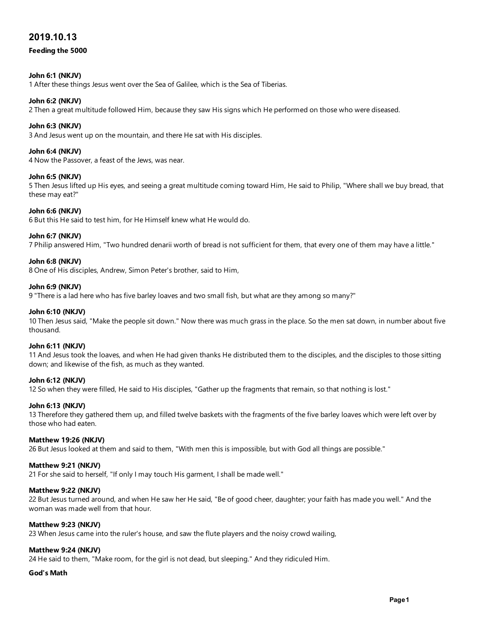## 2019.10.13

## Feeding the 5000

## John 6:1 (NKJV)

1 After these things Jesus went over the Sea of Galilee, which is the Sea of Tiberias.

## John 6:2 (NKJV)

2 Then a great multitude followed Him, because they saw His signs which He performed on those who were diseased.

## John 6:3 (NKJV)

3 And Jesus went up on the mountain, and there He sat with His disciples.

## John 6:4 (NKJV)

4 Now the Passover, a feast of the Jews, was near.

## John 6:5 (NKJV)

5 Then Jesus lifted up His eyes, and seeing a great multitude coming toward Him, He said to Philip, "Where shall we buy bread, that these may eat?"

## John 6:6 (NKJV)

6 But this He said to test him, for He Himself knew what He would do.

#### John 6:7 (NKJV)

7 Philip answered Him, "Two hundred denarii worth of bread is not sufficient for them, that every one of them may have a little."

#### John 6:8 (NKJV)

8 One of His disciples, Andrew, Simon Peter's brother, said to Him,

## John 6:9 (NKJV)

9 "There is a lad here who has five barley loaves and two small fish, but what are they among so many?"

#### John 6:10 (NKJV)

10 Then Jesus said, "Make the people sit down." Now there was much grass in the place. So the men sat down, in number about five thousand.

#### John 6:11 (NKJV)

11 And Jesus took the loaves, and when He had given thanks He distributed them to the disciples, and the disciples to those sitting down; and likewise of the fish, as much as they wanted.

## John 6:12 (NKJV)

12 So when they were filled, He said to His disciples, "Gather up the fragments that remain, so that nothing is lost."

#### John 6:13 (NKJV)

13 Therefore they gathered them up, and filled twelve baskets with the fragments of the five barley loaves which were left over by those who had eaten.

#### Matthew 19:26 (NKJV)

26 But Jesus looked at them and said to them, "With men this is impossible, but with God all things are possible."

#### Matthew 9:21 (NKJV)

21 For she said to herself, "If only I may touch His garment, I shall be made well."

## Matthew 9:22 (NKJV)

22 But Jesus turned around, and when He saw her He said, "Be of good cheer, daughter; your faith has made you well." And the woman was made well from that hour.

## Matthew 9:23 (NKJV)

23 When Jesus came into the ruler's house, and saw the flute players and the noisy crowd wailing,

## Matthew 9:24 (NKJV)

24 He said to them, "Make room, for the girl is not dead, but sleeping." And they ridiculed Him.

## God's Math